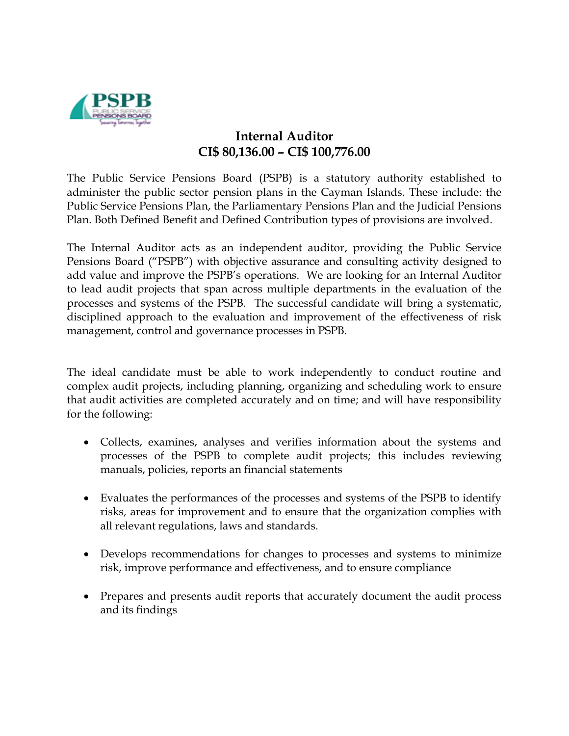

## **Internal Auditor CI\$ 80,136.00 – CI\$ 100,776.00**

The Public Service Pensions Board (PSPB) is a statutory authority established to administer the public sector pension plans in the Cayman Islands. These include: the Public Service Pensions Plan, the Parliamentary Pensions Plan and the Judicial Pensions Plan. Both Defined Benefit and Defined Contribution types of provisions are involved.

The Internal Auditor acts as an independent auditor, providing the Public Service Pensions Board ("PSPB") with objective assurance and consulting activity designed to add value and improve the PSPB's operations. We are looking for an Internal Auditor to lead audit projects that span across multiple departments in the evaluation of the processes and systems of the PSPB. The successful candidate will bring a systematic, disciplined approach to the evaluation and improvement of the effectiveness of risk management, control and governance processes in PSPB.

The ideal candidate must be able to work independently to conduct routine and complex audit projects, including planning, organizing and scheduling work to ensure that audit activities are completed accurately and on time; and will have responsibility for the following:

- Collects, examines, analyses and verifies information about the systems and processes of the PSPB to complete audit projects; this includes reviewing manuals, policies, reports an financial statements
- Evaluates the performances of the processes and systems of the PSPB to identify risks, areas for improvement and to ensure that the organization complies with all relevant regulations, laws and standards.
- Develops recommendations for changes to processes and systems to minimize risk, improve performance and effectiveness, and to ensure compliance
- Prepares and presents audit reports that accurately document the audit process and its findings